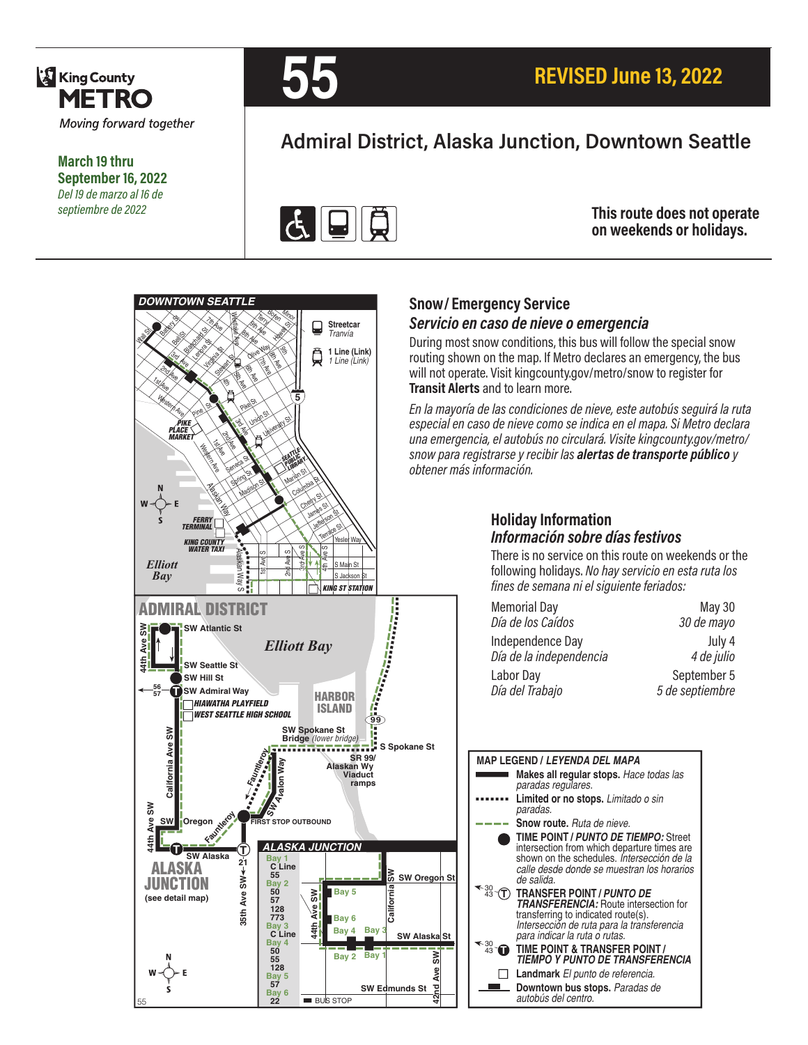

**March 19 thru September 16, 2022** *Del 19 de marzo al 16 de septiembre de 2022*



# **Admiral District, Alaska Junction, Downtown Seattle**



**This route does not operate on weekends or holidays.**



### **Snow/ Emergency Service**  *Servicio en caso de nieve o emergencia*

During most snow conditions, this bus will follow the special snow routing shown on the map. If Metro declares an emergency, the bus will not operate. Visit kingcounty.gov/metro/snow to register for **Transit Alerts** and to learn more.

*En la mayoría de las condiciones de nieve, este autobús seguirá la ruta especial en caso de nieve como se indica en el mapa. Si Metro declara una emergencia, el autobús no circulará. Visite kingcounty.gov/metro/ snow para registrarse y recibir las alertas de transporte público y obtener más información.*

### **Holiday Information** *Información sobre días festivos*

There is no service on this route on weekends or the following holidays. *No hay servicio en esta ruta los fines de semana ni el siguiente feriados:*

| <b>Memorial Day</b>     | May 30          |
|-------------------------|-----------------|
| Día de los Caídos       | 30 de mayo      |
| Independence Day        | July 4          |
| Día de la independencia | 4 de julio      |
| Labor Day               | September 5     |
| Día del Trabajo         | 5 de septiembre |



**evA**